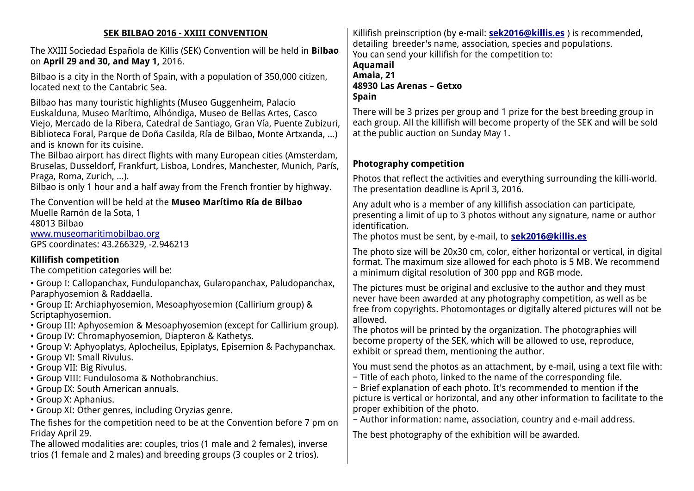| <b>SEK BILBAO 2016 - XXIII CONVENTION</b>                                                                                                                                                                                                                                                                                                                                                                                                      | Killifish preinscription (by e-mail: <b>sek2016@killis.es</b> ) is recommended,                                                                                                                                                                                                                                                                                                                                                                   |
|------------------------------------------------------------------------------------------------------------------------------------------------------------------------------------------------------------------------------------------------------------------------------------------------------------------------------------------------------------------------------------------------------------------------------------------------|---------------------------------------------------------------------------------------------------------------------------------------------------------------------------------------------------------------------------------------------------------------------------------------------------------------------------------------------------------------------------------------------------------------------------------------------------|
| The XXIII Sociedad Española de Killis (SEK) Convention will be held in Bilbao<br>on April 29 and 30, and May 1, 2016.                                                                                                                                                                                                                                                                                                                          | detailing breeder's name, association, species and populations.<br>You can send your killifish for the competition to:<br>Aquamail                                                                                                                                                                                                                                                                                                                |
| Bilbao is a city in the North of Spain, with a population of 350,000 citizen,<br>located next to the Cantabric Sea.                                                                                                                                                                                                                                                                                                                            | Amaia, 21<br>48930 Las Arenas - Getxo<br><b>Spain</b>                                                                                                                                                                                                                                                                                                                                                                                             |
| Bilbao has many touristic highlights (Museo Guggenheim, Palacio<br>Euskalduna, Museo Marítimo, Alhóndiga, Museo de Bellas Artes, Casco<br>Viejo, Mercado de la Ribera, Catedral de Santiago, Gran Vía, Puente Zubizuri,<br>Biblioteca Foral, Parque de Doña Casilda, Ría de Bilbao, Monte Artxanda, )<br>and is known for its cuisine.                                                                                                         | There will be 3 prizes per group and 1 prize for the best breeding group in<br>each group. All the killifish will become property of the SEK and will be sold<br>at the public auction on Sunday May 1.                                                                                                                                                                                                                                           |
| The Bilbao airport has direct flights with many European cities (Amsterdam,<br>Bruselas, Dusseldorf, Frankfurt, Lisboa, Londres, Manchester, Munich, París,                                                                                                                                                                                                                                                                                    | <b>Photography competition</b>                                                                                                                                                                                                                                                                                                                                                                                                                    |
| Praga, Roma, Zurich, ).<br>Bilbao is only 1 hour and a half away from the French frontier by highway.                                                                                                                                                                                                                                                                                                                                          | Photos that reflect the activities and everything surrounding the killi-world.<br>The presentation deadline is April 3, 2016.                                                                                                                                                                                                                                                                                                                     |
| The Convention will be held at the Museo Marítimo Ría de Bilbao<br>Muelle Ramón de la Sota, 1<br>48013 Bilbao<br>www.museomaritimobilbao.org<br>GPS coordinates: 43.266329, -2.946213                                                                                                                                                                                                                                                          | Any adult who is a member of any killifish association can participate,<br>presenting a limit of up to 3 photos without any signature, name or author<br>identification.<br>The photos must be sent, by e-mail, to <b>sek2016@killis.es</b>                                                                                                                                                                                                       |
| <b>Killifish competition</b><br>The competition categories will be:                                                                                                                                                                                                                                                                                                                                                                            | The photo size will be 20x30 cm, color, either horizontal or vertical, in digital<br>format. The maximum size allowed for each photo is 5 MB. We recommend<br>a minimum digital resolution of 300 ppp and RGB mode.                                                                                                                                                                                                                               |
| • Group I: Callopanchax, Fundulopanchax, Gularopanchax, Paludopanchax,<br>Paraphyosemion & Raddaella.<br>• Group II: Archiaphyosemion, Mesoaphyosemion (Callirium group) &<br>Scriptaphyosemion.<br>• Group III: Aphyosemion & Mesoaphyosemion (except for Callirium group).<br>• Group IV: Chromaphyosemion, Diapteron & Kathetys.<br>• Group V: Aphyoplatys, Aplocheilus, Epiplatys, Episemion & Pachypanchax.<br>• Group VI: Small Rivulus. | The pictures must be original and exclusive to the author and they must<br>never have been awarded at any photography competition, as well as be<br>free from copyrights. Photomontages or digitally altered pictures will not be<br>allowed.<br>The photos will be printed by the organization. The photographies will<br>become property of the SEK, which will be allowed to use, reproduce,<br>exhibit or spread them, mentioning the author. |
| • Group VII: Big Rivulus.<br>· Group VIII: Fundulosoma & Nothobranchius.<br>• Group IX: South American annuals.<br>• Group X: Aphanius.<br>· Group XI: Other genres, including Oryzias genre.<br>The fishes for the competition need to be at the Convention before 7 pm on                                                                                                                                                                    | You must send the photos as an attachment, by e-mail, using a text file with:<br>- Title of each photo, linked to the name of the corresponding file.<br>- Brief explanation of each photo. It's recommended to mention if the<br>picture is vertical or horizontal, and any other information to facilitate to the<br>proper exhibition of the photo.<br>- Author information: name, association, country and e-mail address.                    |
| Friday April 29.<br>The allowed modalities are: couples, trios (1 male and 2 females), inverse<br>trios (1 female and 2 males) and breeding groups (3 couples or 2 trios).                                                                                                                                                                                                                                                                     | The best photography of the exhibition will be awarded.                                                                                                                                                                                                                                                                                                                                                                                           |